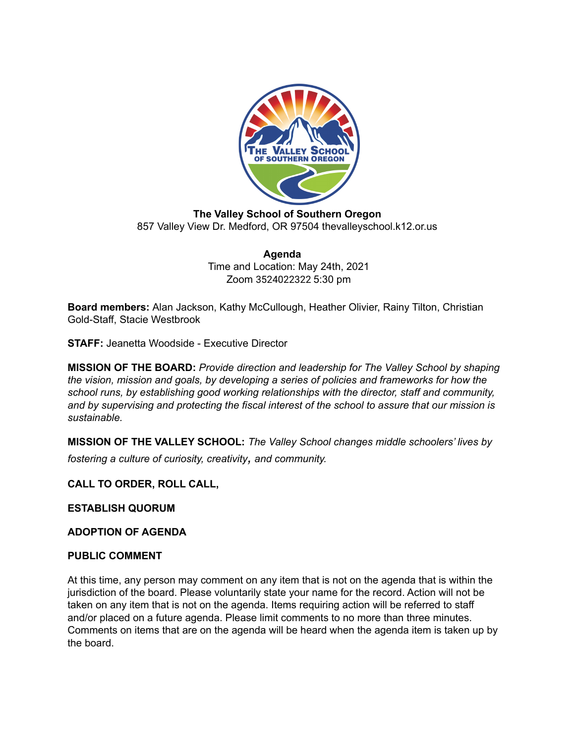

**The Valley School of Southern Oregon** 857 Valley View Dr. Medford, OR 97504 thevalleyschool.k12.or.us

> **Agenda** Time and Location: May 24th, 2021 Zoom 3524022322 5:30 pm

**Board members:** Alan Jackson, Kathy McCullough, Heather Olivier, Rainy Tilton, Christian Gold-Staff, Stacie Westbrook

**STAFF:** Jeanetta Woodside - Executive Director

**MISSION OF THE BOARD:** *Provide direction and leadership for The Valley School by shaping the vision, mission and goals, by developing a series of policies and frameworks for how the school runs, by establishing good working relationships with the director, staff and community, and by supervising and protecting the fiscal interest of the school to assure that our mission is sustainable.*

**MISSION OF THE VALLEY SCHOOL:** *The Valley School changes middle schoolers' lives by fostering <sup>a</sup> culture of curiosity, creativity, and community.*

## **CALL TO ORDER, ROLL CALL,**

**ESTABLISH QUORUM**

**ADOPTION OF AGENDA**

#### **PUBLIC COMMENT**

At this time, any person may comment on any item that is not on the agenda that is within the jurisdiction of the board. Please voluntarily state your name for the record. Action will not be taken on any item that is not on the agenda. Items requiring action will be referred to staff and/or placed on a future agenda. Please limit comments to no more than three minutes. Comments on items that are on the agenda will be heard when the agenda item is taken up by the board.